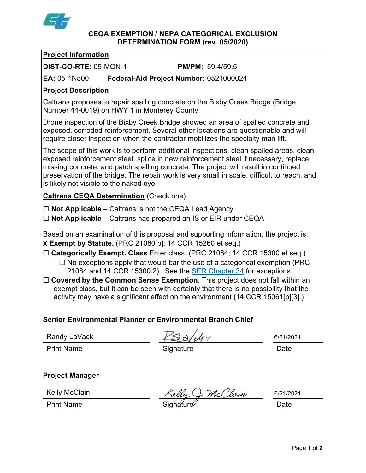

**CEQA EXEMPTION / NEPA CATEGORICAL EXCLUSION DETERMINATION FORM (rev. 05/2020)**

## **Project Information**

**DIST-CO-RTE:** 05-MON-1 **PM/PM:** 59.4/59.5

**EA:** 05-1N500 **Federal-Aid Project Number:** 0521000024

# **Project Description**

Caltrans proposes to repair spalling concrete on the Bixby Creek Bridge (Bridge Number 44-0019) on HWY 1 in Monterey County.

Drone inspection of the Bixby Creek Bridge showed an area of spalled concrete and exposed, corroded reinforcement. Several other locations are questionable and will require closer inspection when the contractor mobilizes the specialty man lift.

The scope of this work is to perform additional inspections, clean spalled areas, clean exposed reinforcement steel, splice in new reinforcement steel if necessary, replace missing concrete, and patch spalling concrete. The project will result in continued preservation of the bridge. The repair work is very small in scale, difficult to reach, and is likely not visible to the naked eye.

**Caltrans CEQA Determination** (Check one)

☐ **Not Applicable** – Caltrans is not the CEQA Lead Agency

☐ **Not Applicable** – Caltrans has prepared an IS or EIR under CEQA

Based on an examination of this proposal and supporting information, the project is: X **Exempt by Statute.** (PRC 21080[b]; 14 CCR 15260 et seq.)

☐ **Categorically Exempt. Class** Enter class. (PRC 21084; 14 CCR 15300 et seq.)

- $\Box$  No exceptions apply that would bar the use of a categorical exemption (PRC 21084 and 14 CCR 15300.2). See the **SER Chapter 34** for exceptions.
- □ **Covered by the Common Sense Exemption**. This project does not fall within an exempt class, but it can be seen with certainty that there is no possibility that the activity may have a significant effect on the environment (14 CCR 15061[b][3].)

## **Senior Environmental Planner or Environmental Branch Chief**

Randy LaVack

Print Name **Signature Construction Construction** Date

6/21/2021

**Project Manager**

Kelly McClain

). McClain

6/21/2021

Print Name **Signature Contract Standard Contract Contract Contract Contract Contract Contract Contract Contract Contract Contract Contract Contract Contract Contract Contract Contract Contract Contract Contract Contract** 

Page **1** of **2**